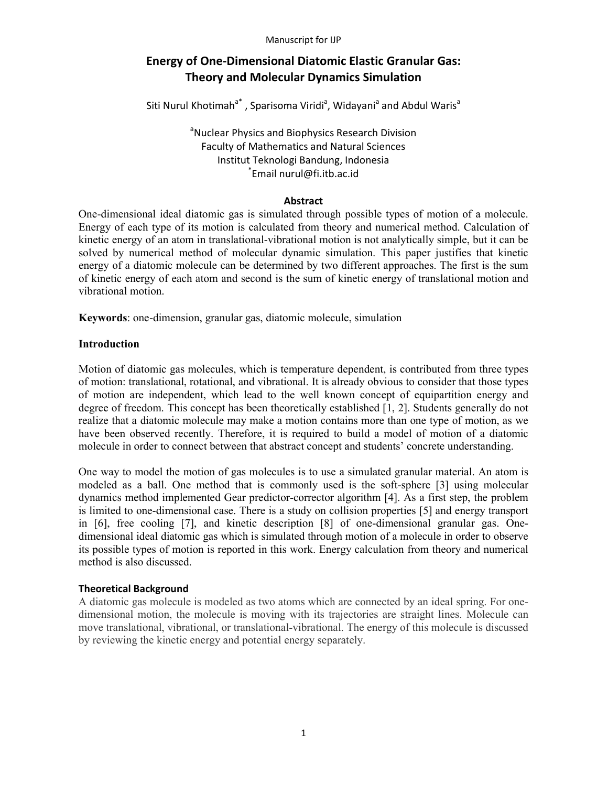# **Energy of One-Dimensional Diatomic Elastic Granular Gas: Theory and Molecular Dynamics Simulation**

Siti Nurul Khotimah<sup>a\*</sup>, Sparisoma Viridi<sup>a</sup>, Widayani<sup>a</sup> and Abdul Waris<sup>a</sup>

<sup>a</sup>Nuclear Physics and Biophysics Research Division Faculty of Mathematics and Natural Sciences Institut Teknologi Bandung, Indonesia \* Email nurul@fi.itb.ac.id

### **Abstract**

One-dimensional ideal diatomic gas is simulated through possible types of motion of a molecule. Energy of each type of its motion is calculated from theory and numerical method. Calculation of kinetic energy of an atom in translational-vibrational motion is not analytically simple, but it can be solved by numerical method of molecular dynamic simulation. This paper justifies that kinetic energy of a diatomic molecule can be determined by two different approaches. The first is the sum of kinetic energy of each atom and second is the sum of kinetic energy of translational motion and vibrational motion.

**Keywords**: one-dimension, granular gas, diatomic molecule, simulation

# **Introduction**

Motion of diatomic gas molecules, which is temperature dependent, is contributed from three types of motion: translational, rotational, and vibrational. It is already obvious to consider that those types of motion are independent, which lead to the well known concept of equipartition energy and degree of freedom. This concept has been theoretically established [1, 2]. Students generally do not realize that a diatomic molecule may make a motion contains more than one type of motion, as we have been observed recently. Therefore, it is required to build a model of motion of a diatomic molecule in order to connect between that abstract concept and students' concrete understanding.

One way to model the motion of gas molecules is to use a simulated granular material. An atom is modeled as a ball. One method that is commonly used is the soft-sphere [3] using molecular dynamics method implemented Gear predictor-corrector algorithm [4]. As a first step, the problem is limited to one-dimensional case. There is a study on collision properties [5] and energy transport in [6], free cooling [7], and kinetic description [8] of one-dimensional granular gas. Onedimensional ideal diatomic gas which is simulated through motion of a molecule in order to observe its possible types of motion is reported in this work. Energy calculation from theory and numerical method is also discussed.

### **Theoretical Background**

A diatomic gas molecule is modeled as two atoms which are connected by an ideal spring. For onedimensional motion, the molecule is moving with its trajectories are straight lines. Molecule can move translational, vibrational, or translational-vibrational. The energy of this molecule is discussed by reviewing the kinetic energy and potential energy separately.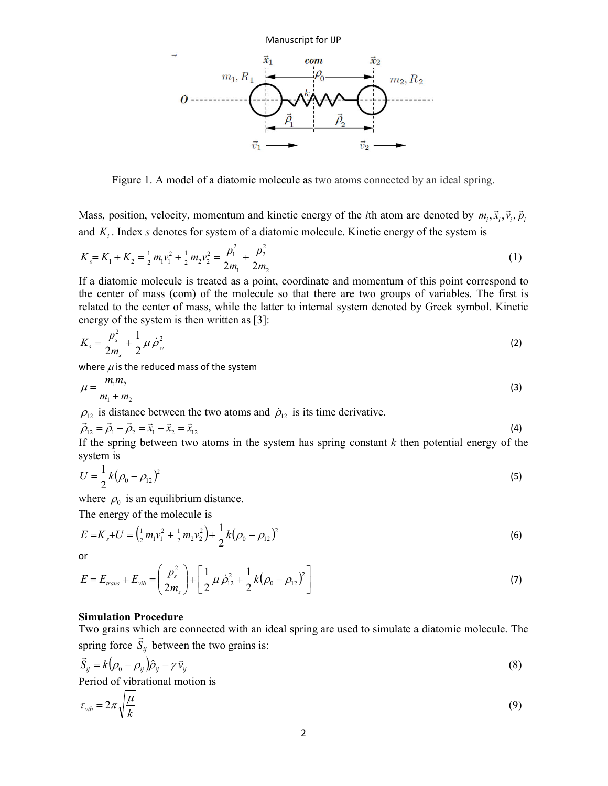

Figure 1. A model of a diatomic molecule as two atoms connected by an ideal spring.

Mass, position, velocity, momentum and kinetic energy of the *i*th atom are denoted by  $m_i$ ,  $\vec{x}_i$ ,  $\vec{v}_i$ ,  $\vec{p}_i$  $\overline{r}$   $\overline{r}$   $\overline{r}$  $, \vec{x}_i, \vec{v}_i, \vec{p}_i$ and *K<sup>i</sup>* . Index *s* denotes for system of a diatomic molecule. Kinetic energy of the system is

$$
K_s = K_1 + K_2 = \frac{1}{2}m_1v_1^2 + \frac{1}{2}m_2v_2^2 = \frac{p_1^2}{2m_1} + \frac{p_2^2}{2m_2}
$$
 (1)

If a diatomic molecule is treated as a point, coordinate and momentum of this point correspond to the center of mass (com) of the molecule so that there are two groups of variables. The first is related to the center of mass, while the latter to internal system denoted by Greek symbol. Kinetic energy of the system is then written as [3].

$$
K_s = \frac{p_s^2}{2m_s} + \frac{1}{2}\mu \dot{\rho}_{12}^2
$$
 (2)

where  $\mu$  is the reduced mass of the system

$$
\mu = \frac{m_1 m_2}{m_1 + m_2} \tag{3}
$$

 $\rho_{12}$  is distance between the two atoms and  $\rho_{12}$  is its time derivative.

$$
\vec{\rho}_{12} = \vec{\rho}_1 - \vec{\rho}_2 = \vec{x}_1 - \vec{x}_2 = \vec{x}_{12}
$$
 (4)

If the spring between two atoms in the system has spring constant  $k$  then potential energy of the system is

$$
U = \frac{1}{2}k(\rho_0 - \rho_{12})^2
$$
 (5)

where  $\rho_0$  is an equilibrium distance.

The energy of the molecule is

$$
E = K_s + U = \left(\frac{1}{2}m_1v_1^2 + \frac{1}{2}m_2v_2^2\right) + \frac{1}{2}k\left(\rho_0 - \rho_{12}\right)^2
$$
\n(6)

or

$$
E = E_{trans} + E_{vib} = \left(\frac{p_s^2}{2m_s}\right) + \left[\frac{1}{2}\mu \dot{\rho}_{12}^2 + \frac{1}{2}k(\rho_0 - \rho_{12})^2\right]
$$
(7)

### **Simulation Procedure**

Two grains which are connected with an ideal spring are used to simulate a diatomic molecule. The spring force  $S_{ij}$  between the two grains is:

$$
\vec{S}_{ij} = k(\rho_0 - \rho_{ij})\hat{\rho}_{ij} - \gamma \vec{v}_{ij}
$$
\n(8)

Period of vibrational motion is

$$
\tau_{vib} = 2\pi \sqrt{\frac{\mu}{k}} \tag{9}
$$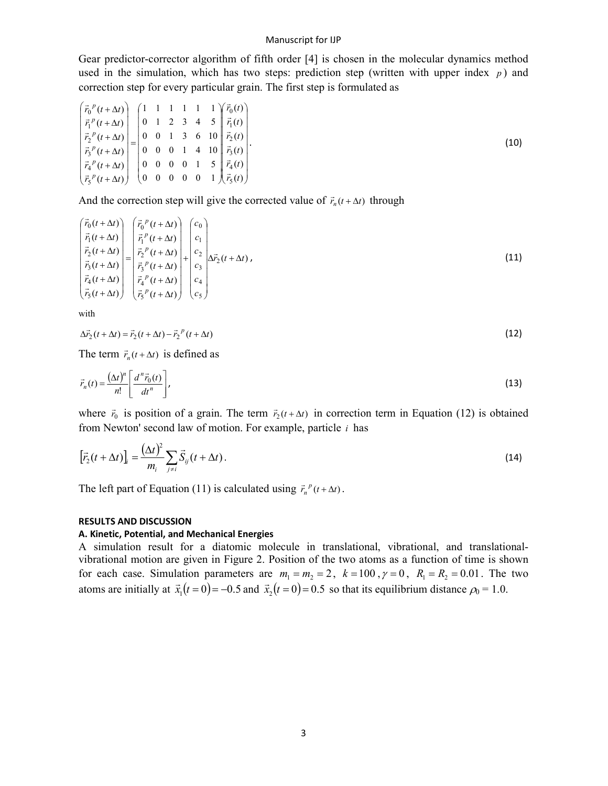#### Manuscript for IJP

Gear predictor-corrector algorithm of fifth order [4] is chosen in the molecular dynamics method used in the simulation, which has two steps: prediction step (written with upper index  $p$ ) and correction step for every particular grain. The first step is formulated as

$$
\begin{pmatrix}\n\vec{r}_0{}^p(t+\Delta t) \\
\vec{r}_1{}^p(t+\Delta t) \\
\vec{r}_2{}^p(t+\Delta t) \\
\vec{r}_3{}^p(t+\Delta t) \\
\vec{r}_4{}^p(t+\Delta t) \\
\vec{r}_5{}^p(t+\Delta t)\n\end{pmatrix} = \begin{pmatrix}\n1 & 1 & 1 & 1 & 1 & 1 \\
0 & 1 & 2 & 3 & 4 & 5 \\
0 & 0 & 1 & 3 & 6 & 10 \\
0 & 0 & 0 & 1 & 4 & 10 \\
0 & 0 & 0 & 1 & 4 & 10 \\
0 & 0 & 0 & 0 & 1 & 5 \\
\vec{r}_4{}^p(t+\Delta t) \\
\vec{r}_5{}^p(t+\Delta t)\n\end{pmatrix} = \begin{pmatrix}\n1 & 1 & 1 & 1 & 1 & 1 \\
0 & 1 & 2 & 3 & 4 & 5 \\
0 & 0 & 1 & 3 & 6 & 10 \\
0 & 0 & 0 & 1 & 5 & 0 \\
0 & 0 & 0 & 0 & 1 & 5 \\
0 & 0 & 0 & 0 & 0 & 1\n\end{pmatrix} \begin{pmatrix}\n\vec{r}_0(t) \\
\vec{r}_1(t) \\
\vec{r}_2(t) \\
\vec{r}_3(t) \\
\vec{r}_4(t)\n\end{pmatrix}.
$$
\n(10)

And the correction step will give the corrected value of  $\vec{r}_n(t + \Delta t)$  through

$$
\begin{pmatrix}\n\vec{r}_0(t+\Delta t) \\
\vec{r}_1(t+\Delta t) \\
\vec{r}_2(t+\Delta t) \\
\vec{r}_3(t+\Delta t) \\
\vec{r}_4(t+\Delta t)\n\end{pmatrix} =\n\begin{pmatrix}\n\vec{r}_0^{\ p}(t+\Delta t) \\
\vec{r}_1^{\ p}(t+\Delta t) \\
\vec{r}_2^{\ p}(t+\Delta t) \\
\vec{r}_3^{\ p}(t+\Delta t) \\
\vec{r}_4^{\ p}(t+\Delta t)\n\end{pmatrix} +\n\begin{pmatrix}\nc_0 \\
c_1 \\
c_2 \\
c_3 \\
\vec{r}_2(t+\Delta t)\n\end{pmatrix}.
$$
\n(11)

with

$$
\Delta \vec{r}_2(t + \Delta t) = \vec{r}_2(t + \Delta t) - \vec{r}_2^{p}(t + \Delta t)
$$
\n(12)

The term  $\vec{r}_n(t + \Delta t)$  is defined as

$$
\vec{r}_n(t) = \frac{(\Delta t)^n}{n!} \left[ \frac{d^n \vec{r}_0(t)}{dt^n} \right],\tag{13}
$$

where  $\vec{r}_0$  is position of a grain. The term  $\vec{r}_2(t + \Delta t)$  in correction term in Equation (12) is obtained from Newton' second law of motion. For example, particle *i* has

$$
\left[\vec{r}_2(t+\Delta t)\right]_i = \frac{\left(\Delta t\right)^2}{m_i} \sum_{j \neq i} \vec{S}_{ij}(t+\Delta t). \tag{14}
$$

The left part of Equation (11) is calculated using  $\vec{r}_n^p(t + \Delta t)$ .

### **RESULTS AND DISCUSSION**

#### **A. Kinetic, Potential, and Mechanical Energies**

A simulation result for a diatomic molecule in translational, vibrational, and translationalvibrational motion are given in Figure 2. Position of the two atoms as a function of time is shown for each case. Simulation parameters are  $m_1 = m_2 = 2$ ,  $k = 100$ ,  $\gamma = 0$ ,  $R_1 = R_2 = 0.01$ . The two atoms are initially at  $\vec{x}_1(t=0) = -0.5$ .u<br>→ and  $\vec{x}_2(t=0) = 0.5$ ·<br>→ so that its equilibrium distance  $\rho_0 = 1.0$ .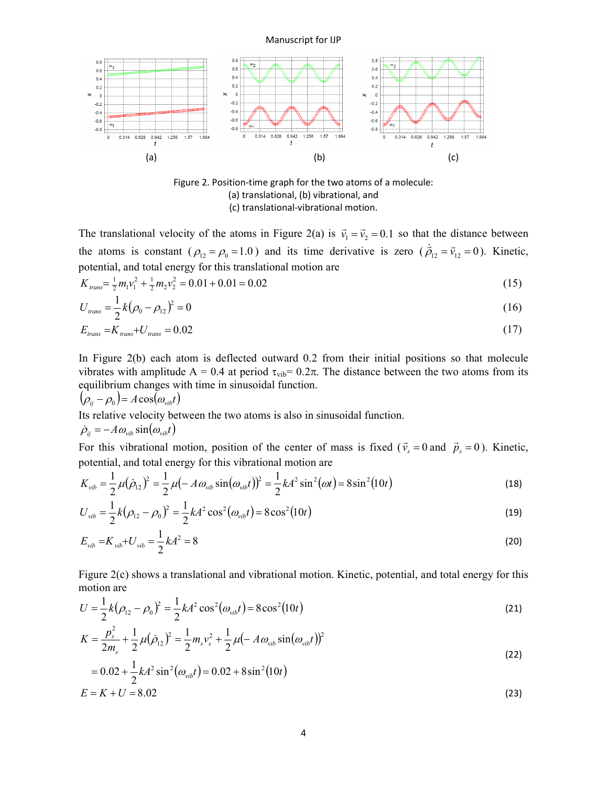Manuscript for IJP



Figure 2. Position-time graph for the two atoms of a molecule: (a) translational, (b) vibrational, and (c) translational-vibrational motion.

The translational velocity of the atoms in Figure 2(a) is  $\vec{v}_1 = \vec{v}_2 = 0.1$  $\overline{a}$  so that the distance between the atoms is constant ( $\rho_{12} = \rho_0 = 1.0$ ) and its time derivative is zero ( $\vec{\rho}_{12} = \vec{v}_{12} = 0$  $\dot{\vec{a}}$   $-\vec{v}$  $\vec{\rho}_{12} = \vec{v}_{12} = 0$ ). Kinetic, potential, and total energy for this translational motion are

$$
K_{trans} = \frac{1}{2}m_1v_1^2 + \frac{1}{2}m_2v_2^2 = 0.01 + 0.01 = 0.02
$$
\n(15)

$$
U_{trans} = \frac{1}{2}k(\rho_0 - \rho_{12})^2 = 0
$$
\n(16)

$$
E_{trans} = K_{trans} + U_{trans} = 0.02
$$
\n<sup>(17)</sup>

In Figure 2(b) each atom is deflected outward 0.2 from their initial positions so that molecule vibrates with amplitude A = 0.4 at period  $\tau_{\text{vib}}$ = 0.2π. The distance between the two atoms from its equilibrium changes with time in sinusoidal function.

$$
(\rho_{ij} - \rho_0) = A \cos(\omega_{vib} t)
$$

Its relative velocity between the two atoms is also in sinusoidal function.

$$
\dot{\rho}_{ij} = -A \omega_{vib} \sin(\omega_{vib} t)
$$

For this vibrational motion, position of the center of mass is fixed ( $\vec{v}_s = 0$  $\rightarrow$ and  $\vec{p}_s = 0$  $\overline{\phantom{a}}$ ). Kinetic, potential, and total energy for this vibrational motion are

$$
K_{vib} = \frac{1}{2}\mu(\dot{\rho}_{12})^2 = \frac{1}{2}\mu(-A\omega_{vib}\sin(\omega_{vib}t))^2 = \frac{1}{2}kA^2\sin^2(\omega t) = 8\sin^2(10t)
$$
 (18)

$$
U_{\rm vib} = \frac{1}{2}k(\rho_{12} - \rho_0)^2 = \frac{1}{2}kA^2\cos^2(\omega_{\rm vib}t) = 8\cos^2(10t)
$$
 (19)

$$
E_{vib} = K_{vib} + U_{vib} = \frac{1}{2}kA^2 = 8
$$
\n(20)

Figure 2(c) shows a translational and vibrational motion. Kinetic, potential, and total energy for this motion are

$$
U = \frac{1}{2}k(\rho_{12} - \rho_0)^2 = \frac{1}{2}kA^2\cos^2(\omega_{vib}t) = 8\cos^2(10t)
$$
 (21)

$$
K = \frac{p_s^2}{2m_s} + \frac{1}{2}\mu(\dot{\rho}_{12})^2 = \frac{1}{2}m_s v_s^2 + \frac{1}{2}\mu(-A\omega_{vib}\sin(\omega_{vib}t))^2
$$
\n(22)

$$
= 0.02 + \frac{1}{2}kA^2\sin^2(\omega_{vib}t) = 0.02 + 8\sin^2(10t)
$$
  
\n
$$
E = K + U = 8.02
$$
\n(23)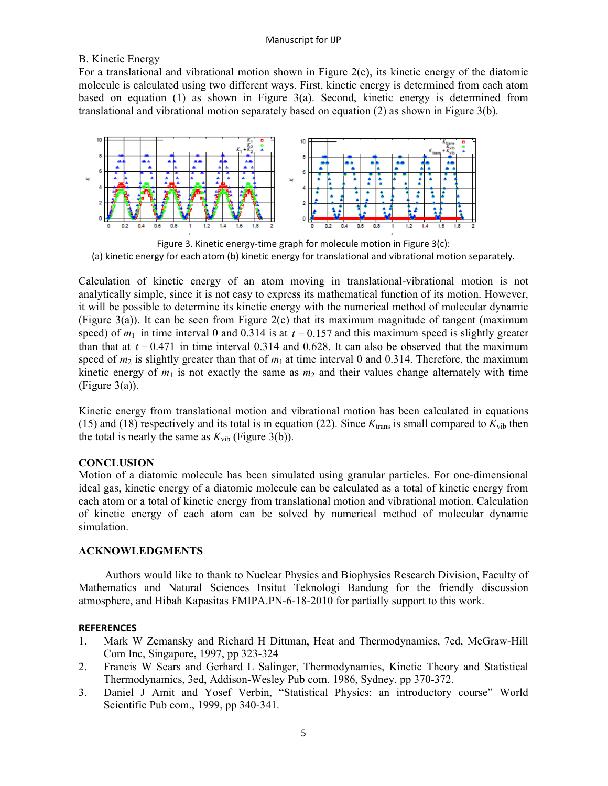# B. Kinetic Energy

For a translational and vibrational motion shown in Figure  $2(c)$ , its kinetic energy of the diatomic molecule is calculated using two different ways. First, kinetic energy is determined from each atom based on equation (1) as shown in Figure 3(a). Second, kinetic energy is determined from translational and vibrational motion separately based on equation (2) as shown in Figure 3(b).



Figure 3. Kinetic energy-time graph for molecule motion in Figure 3(c): (a) kinetic energy for each atom (b) kinetic energy for translational and vibrational motion separately.

Calculation of kinetic energy of an atom moving in translational-vibrational motion is not analytically simple, since it is not easy to express its mathematical function of its motion. However, it will be possible to determine its kinetic energy with the numerical method of molecular dynamic (Figure 3(a)). It can be seen from Figure 2(c) that its maximum magnitude of tangent (maximum speed) of  $m_1$  in time interval 0 and 0.314 is at  $t = 0.157$  and this maximum speed is slightly greater than that at  $t = 0.471$  in time interval 0.314 and 0.628. It can also be observed that the maximum speed of  $m_2$  is slightly greater than that of  $m_1$  at time interval 0 and 0.314. Therefore, the maximum kinetic energy of  $m_1$  is not exactly the same as  $m_2$  and their values change alternately with time (Figure 3(a)).

Kinetic energy from translational motion and vibrational motion has been calculated in equations (15) and (18) respectively and its total is in equation (22). Since  $K_{trans}$  is small compared to  $K_{vib}$  then the total is nearly the same as  $K_{vib}$  (Figure 3(b)).

### **CONCLUSION**

Motion of a diatomic molecule has been simulated using granular particles. For one-dimensional ideal gas, kinetic energy of a diatomic molecule can be calculated as a total of kinetic energy from each atom or a total of kinetic energy from translational motion and vibrational motion. Calculation of kinetic energy of each atom can be solved by numerical method of molecular dynamic simulation.

# **ACKNOWLEDGMENTS**

Authors would like to thank to Nuclear Physics and Biophysics Research Division, Faculty of Mathematics and Natural Sciences Insitut Teknologi Bandung for the friendly discussion atmosphere, and Hibah Kapasitas FMIPA.PN-6-18-2010 for partially support to this work.

### **REFERENCES**

- 1. Mark W Zemansky and Richard H Dittman, Heat and Thermodynamics, 7ed, McGraw-Hill Com Inc, Singapore, 1997, pp 323-324
- 2. Francis W Sears and Gerhard L Salinger, Thermodynamics, Kinetic Theory and Statistical Thermodynamics, 3ed, Addison-Wesley Pub com. 1986, Sydney, pp 370-372.
- 3. Daniel J Amit and Yosef Verbin, "Statistical Physics: an introductory course" World Scientific Pub com., 1999, pp 340-341.